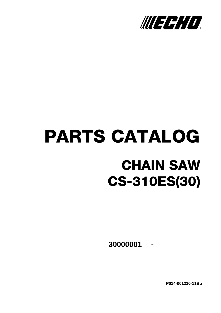

# PARTS CATALOG CHAIN SAW CS-310ES(30)

**- 30000001**

**P014-001210-11Bb**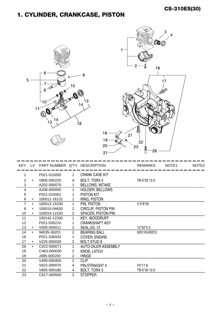### 1. CYLINDER, CRANKCASE, PISTON

| 5              |           | 6<br>$8 - 00$<br>10 <sup>1</sup><br>11<br>14<br>13 | 0<br>10          | 8<br>13<br>4<br>12<br>18<br>19<br>20<br>21 | (Q)<br>1<br>$2 -$<br>16<br>21<br>ą<br>22<br>23<br>E<br>$-26$ | 3<br>$\overline{4}$<br>17 |                   |
|----------------|-----------|----------------------------------------------------|------------------|--------------------------------------------|--------------------------------------------------------------|---------------------------|-------------------|
| <b>KEY</b>     | LV        | PART NUMBER Q'TY DESCRIPTION                       |                  |                                            | <b>REMARKS</b>                                               | NOTE1                     | NOTE <sub>2</sub> |
| 1              |           | P021-015050                                        | 1                | <b>CRANK CASE KIT</b>                      |                                                              |                           |                   |
| $\overline{2}$ | $\ddot{}$ | V805-000220                                        | 4                | BOLT, TORX 5                               | TB-5*25 12.9                                                 |                           |                   |
| 3              |           | A202-000070                                        | 1                | <b>BELLOWS, INTAKE</b>                     |                                                              |                           |                   |
| 4              |           | A206-000000                                        | 1                | HOLDER, BELLOWS                            |                                                              |                           |                   |
| 5              |           | P021-015061                                        | 1                | <b>PISTON KIT</b>                          |                                                              |                           |                   |
| 6              | $\ddot{}$ | 100011-16131                                       | 1                | RING, PISTON                               |                                                              |                           |                   |
| 7              | +         | 100013-15330                                       | 1                | PIN, PISTON                                | 5.5*8*29                                                     |                           |                   |
| 8              | $+$       | 100015-04630                                       | $\overline{c}$   | <b>CIRCLIP, PISTON PIN</b>                 |                                                              |                           |                   |
| 10             | $+$       | 100014-11520                                       | $\overline{2}$   | SPACER, PISTON PIN                         |                                                              |                           |                   |
| 11             |           | 100142-12330                                       | 1                | <b>KEY, WOODRUFF</b>                       |                                                              |                           |                   |
| 12             |           | P021-035210                                        | 1                | <b>CRANKSHAFT ASY</b>                      |                                                              |                           |                   |
| $\frac{13}{2}$ | $+$       | V505-000011                                        | $\overline{a}$   | SEAL, OIL 12                               |                                                              |                           |                   |
| 14             | $+$       | 94035-36201                                        | $\overline{2}$   | <b>BEARING BALL</b>                        | 6201X3JR2C3                                                  |                           |                   |
| 16             |           | P021-036932                                        | $\mathbf{1}$     | COVER, ENGINE                              |                                                              |                           |                   |
| 17             | $\pm$ .   | V225-000030                                        | $\overline{2}$ . | <b>BOLT, STUD 8</b>                        |                                                              |                           |                   |
| 26             | $\ddot{}$ | C022-000071                                        | $\mathbf{1}$     | <b>AUTO-OILER ASSEMBLY</b>                 |                                                              |                           |                   |
| 18             |           | C463-000030                                        | $\overline{c}$   | KNOB, LATCH                                |                                                              |                           |                   |
| 19             |           | J485-000200                                        | $\overline{c}$   | <b>HINGE</b>                               |                                                              |                           |                   |
| 20             |           | V490-000400                                        | $\overline{2}$   | <b>CLIP</b>                                |                                                              |                           |                   |
| 21             |           | V622-000070                                        | 4                | PIN, STRAIGHT 4                            | F4*17.8                                                      |                           |                   |
| .22            |           | V805-000180                                        | 4                | BOLT, TORX 5                               | TB-5*30 12.9                                                 |                           |                   |
| 23             |           | C617-000500                                        | $\overline{2}$   | <b>STOPPER</b>                             |                                                              |                           |                   |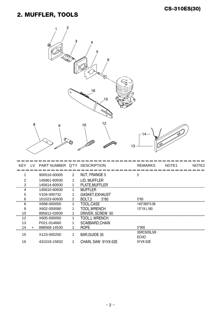#### 2. MUFFLER, TOOLS

| $\overline{c}$<br>$\ensuremath{\mathsf{3}}$<br>4<br>@<br>5<br>6<br>16<br>0<br>15                                                   |                   |
|------------------------------------------------------------------------------------------------------------------------------------|-------------------|
| 12<br>8<br>10<br>9<br>14<br>13                                                                                                     |                   |
| PART NUMBER Q'TY DESCRIPTION<br>NOTE1<br><b>KEY</b><br>LV<br><b>REMARKS</b>                                                        | NOTE <sub>2</sub> |
| 5<br>NUT, FRANGE 5<br>900516-00005<br>$\mathbf{2}$<br>1                                                                            |                   |
| LID, MUFFLER<br>145861-60930<br>2                                                                                                  |                   |
| PLATE, MUFFLER<br>3<br>145614-60930<br>1                                                                                           |                   |
| <b>MUFFLER</b><br>145610-60930<br>4<br>1                                                                                           |                   |
| GASKET, EXHAUST<br>V104-000732<br>5<br>1                                                                                           |                   |
| 6<br>BOLT <sub>,5</sub><br>$5*60$<br>101023-60930<br>$\overline{a}$<br>5*60<br>1<br>TOOL, CASE<br>8<br>X698-000050<br>140*260*0.06 |                   |
| 9<br>TOOL, WRENCH<br>X602-000080<br>1<br>13*19 L180                                                                                |                   |
| 10<br>DRIVER, SCREW 50<br>895812-03930<br>$\overline{1}$                                                                           |                   |
| <b>TOOL,L WRENCH</b><br>12<br>X605-000050<br>1                                                                                     |                   |
| 13<br>P021-014660<br>1<br>SCABBARD, CHAIN                                                                                          |                   |
| 14<br>ROPE<br>5*900<br>898568-14530<br>$\mathbf{1}$<br>$+$                                                                         |                   |
|                                                                                                                                    |                   |
| 35RC50SL3/8<br><b>BAR, GUIDE 35</b><br>15<br>X123-000250<br>$\mathbf{1}$<br><b>ECHO</b>                                            |                   |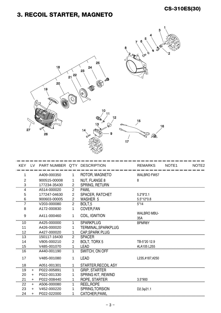# 3. RECOIL STARTER, MAGNETO



|                |           | KEY LV PART NUMBER Q'TY DESCRIPTION |                |                        | <b>REMARKS</b>            | NOTE1 | NOTE <sub>2</sub> |
|----------------|-----------|-------------------------------------|----------------|------------------------|---------------------------|-------|-------------------|
|                |           | A409-000350                         |                | ROTOR, MAGNETO         | <b>WALBRO FW57</b>        |       |                   |
| $\overline{2}$ |           | 900515-00008                        |                | NUT, FLANGE 8          | 8                         |       |                   |
| 3              |           | 177234-35430                        | $\overline{2}$ | SPRING, RETURN         |                           |       |                   |
| 4              |           | A514-000020                         | $\overline{2}$ | <b>PAWL</b>            |                           |       |                   |
| 5              |           | 177247-04630                        | $\overline{2}$ | SPACER, RATCHET        | $5.2*8*2.1$               |       |                   |
| 6              |           | 900603-00005                        | $\overline{2}$ | <b>WASHER 5</b>        | 5.5*12*0.8                |       |                   |
|                |           | V203-000080                         | $\overline{2}$ | BOLT <sub>.5</sub>     | $5*14$                    |       |                   |
| 8              |           | A172-000830                         | 1              | COVER, FAN             |                           |       |                   |
| 9              |           | A411-000460                         | 1              | COIL, IGNITION         | <b>WALBRO MBU-</b><br>35A |       |                   |
| 10             |           | A425-000000                         | 1              | <b>SPARKPLUG</b>       | BPMR8Y                    |       |                   |
| 11             |           | A426-000020                         |                | TERMINAL, SPARKPLUG    |                           |       |                   |
| 12             |           | A427-000020                         | 1              | <b>CAP, SPARK PLUG</b> |                           |       |                   |
| 13             |           | 150117-16430                        | $\overline{2}$ | <b>SPACER</b>          |                           |       |                   |
| 14             |           | V805-000210                         | $\overline{2}$ | <b>BOLT, TORX 5</b>    | TB-5*20 12.9              |       |                   |
| 15             |           | V485-001070                         |                | <b>LEAD</b>            | #LA105 L255               |       |                   |
| 16             |           | A440-001190                         | 1              | SWITCH, ON OFF         |                           |       |                   |
| 17             |           | V485-001080                         | 1              | <b>LEAD</b>            | L235,#187,#250            |       |                   |
| 18             |           | A051-001301                         |                | STARTER, RECOIL ASY    |                           |       |                   |
| 19             | $\ddot{}$ | P022-005891                         |                | <b>GRIP, STARTER</b>   |                           |       |                   |
| 20             | $+$       | P022-001330                         |                | SPRING KIT, REWIND     |                           |       |                   |
| 21             | $+$       | P022-008440                         |                | ROPE, STARTER          | $3.5*900$                 |       |                   |
| 22             | $+$       | A506-000080                         | 1              | REEL, ROPE             |                           |       |                   |
| 23             | $+$       | V452-000220                         |                | SPRING, TORSION        | D2.3 <sub>0</sub> 21.1    |       |                   |
| 24             | $+$       | P022-022000                         |                | CATCHER, PAWL          |                           |       |                   |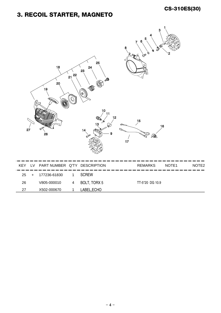## 3. RECOIL STARTER, MAGNETO

|            | 27 | 18<br>20<br>19<br>26         | 22<br>21<br>Ó           | 25<br>24<br>23<br>$\overline{\mathbb{R}}$<br>Q<br>$\mathbb{Q}$<br>$\widehat{\mathcal{C}}$<br>10<br>11<br>(Co<br>13<br>ଚ⊄<br>14<br>9 | 12<br>$17$ | 3<br>SO B<br>$\mathcal{C}$<br>$\mathscr{O}$<br>$\infty$<br>TK<br>15<br>Q<br>V<br>íQ. | 16    |                   |
|------------|----|------------------------------|-------------------------|-------------------------------------------------------------------------------------------------------------------------------------|------------|--------------------------------------------------------------------------------------|-------|-------------------|
| <b>KEY</b> | LV | PART NUMBER Q'TY DESCRIPTION |                         |                                                                                                                                     |            | <b>REMARKS</b>                                                                       | NOTE1 | NOTE <sub>2</sub> |
| 25         | +  | 177236-61830                 | 1                       | <b>SCREW</b>                                                                                                                        |            |                                                                                      |       |                   |
| 26         |    | V805-000010                  | $\overline{\mathbf{4}}$ | BOLT, TORX 5                                                                                                                        |            | TT-5*20 DG 10.9                                                                      |       |                   |
| 27         |    | X502-000670                  | $\mathbf{1}$            | LABEL, ECHO                                                                                                                         |            |                                                                                      |       |                   |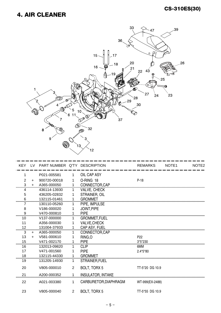#### 4. AIR CLEANER



|                |     | KEY LV PART NUMBER Q'TY DESCRIPTION |              |                          | <b>REMARKS</b>  | NOTE <sub>1</sub> | NOTE <sub>2</sub> |
|----------------|-----|-------------------------------------|--------------|--------------------------|-----------------|-------------------|-------------------|
| 1              |     | P021-005581                         | 1            | OIL CAP ASY              |                 |                   |                   |
| $\overline{2}$ | $+$ | 900720-00018                        | 1            | O-RING 18                | P-18            |                   |                   |
| 3              | $+$ | A365-000050                         | $\mathbf 1$  | CONNECTOR, CAP           |                 |                   |                   |
| 4              |     | 436114-13930                        | 1            | <b>VALVE, CHECK</b>      |                 |                   |                   |
| 5              |     | 436205-02832                        | 1            | STRAINER, OIL            |                 |                   |                   |
| 6              |     | 132115-01461                        | $\mathbf{1}$ | <b>GROMMET</b>           |                 |                   |                   |
|                |     | 130110-05260                        | 1            | PIPE, IMPULSE            |                 |                   |                   |
| 8              |     | V186-000020                         | 1            | JOINT, PIPE              |                 |                   |                   |
| 9              |     | V470-000810                         | 1            | <b>PIPE</b>              |                 |                   |                   |
| 10             |     | V <sub>137</sub> -000000            | 1.           | <b>GROMMET, FUEL</b>     |                 |                   |                   |
| 11             |     | A356-000030                         |              | <b>VALVE, CHECK</b>      |                 |                   |                   |
| 12             |     | 131004-37933                        | 1            | CAP ASY, FUEL            |                 |                   |                   |
| 3              | $+$ | A365-000050                         | 1.           | CONNECTOR, CAP           |                 |                   |                   |
| 13             | $+$ | V581-000610                         |              | RING, O                  | P <sub>22</sub> |                   |                   |
| 15             |     | V471-002170                         | $\mathbf{1}$ | <b>PIPE</b>              | 3*5*230         |                   |                   |
| 16             |     | 132013-09820                        | 1            | <b>CLIP</b>              | 6MM             |                   |                   |
| 17             |     | V471-001560                         | 1            | <b>PIPE</b>              | $2.4*5*80$      |                   |                   |
| 18             |     | 132115-44330                        | $\mathbf{1}$ | <b>GROMMET</b>           |                 |                   |                   |
| 19             |     | 131205-14930                        | 1            | STRAINER, FUEL           |                 |                   |                   |
| 20             |     | V805-000010                         | 2            | <b>BOLT, TORX 5</b>      | TT-5*20 DG 10.9 |                   |                   |
| 21             |     | A200-000352                         | 1            | <b>INSULATOR, INTAKE</b> |                 |                   |                   |
| 22             |     | A021-003380                         | 1            | CARBURETOR, DIAPHRAGM    | WT-999(EX-2488) |                   |                   |
| 23             |     | V805-000040                         | 2            | <b>BOLT, TORX 5</b>      | TT-5*55 DG 10.9 |                   |                   |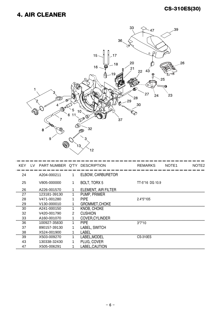#### 4. AIR CLEANER



| <b>KEY</b> | LV. | PART NUMBER Q'TY DESCRIPTION |   |                          | <b>REMARKS</b>  | NOTE <sub>1</sub> | NOTE <sub>2</sub> |
|------------|-----|------------------------------|---|--------------------------|-----------------|-------------------|-------------------|
| 24         |     | A204-000211                  | 1 | <b>ELBOW, CARBURETOR</b> |                 |                   |                   |
| 25         |     | V805-000000                  |   | <b>BOLT, TORX 5</b>      | TT-5*16 DG 10.9 |                   |                   |
| 26         |     | A226-001570                  |   | ELEMENT, AIR FILTER      |                 |                   |                   |
| 27         |     | 123181-39130                 |   | PUMP, PRIMER             |                 |                   |                   |
| 28         |     | V471-001280                  |   | <b>PIPF</b>              | $2.4*5*105$     |                   |                   |
| 29         |     | V130-000010                  |   | <b>GROMMET, CHOKE</b>    |                 |                   |                   |
| 30         |     | A241-000150                  |   | <b>KNOB, CHOKE</b>       |                 |                   |                   |
| 32         |     | V420-001790                  | 2 | <b>CUSHION</b>           |                 |                   |                   |
| 33         |     | A160-001070                  |   | COVER, CYLINDER          |                 |                   |                   |
| 36         |     | 100927-35830                 |   | <b>PIPE</b>              | $3*7*10$        |                   |                   |
| 37         |     | 890157-39130                 |   | LABEL, SWITCH            |                 |                   |                   |
| 38         |     | X524-001900                  |   | LABEL                    |                 |                   |                   |
| 39         |     | X503-009270                  |   | LABEL, MODEL             | CS-310ES        |                   |                   |
| 43         |     | 130338-32430                 |   | PLUG, COVER              |                 |                   |                   |
| 47         |     | X505-006291                  |   | LABEL.CAUTION            |                 |                   |                   |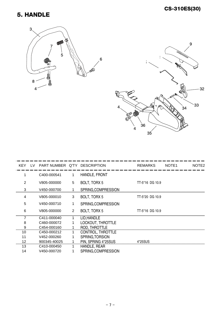#### 5. HANDLE





| <b>KEY</b> | LV. | PART NUMBER Q'TY DESCRIPTION |                |                     | <b>REMARKS</b>  | NOTE <sub>1</sub> | NOTE <sub>2</sub> |
|------------|-----|------------------------------|----------------|---------------------|-----------------|-------------------|-------------------|
|            |     | C400-000541                  | 1              | HANDLE, FRONT       |                 |                   |                   |
| 2          |     | V805-000000                  | 5              | BOLT, TORX 5        | TT-5*16 DG 10.9 |                   |                   |
| 3          |     | V450-000700                  |                | SPRING, COMPRESSION |                 |                   |                   |
| 4          |     | V805-000010                  | 3              | BOLT, TORX 5        | TT-5*20 DG 10.9 |                   |                   |
| 5          |     | V450-000710                  |                | SPRING, COMPRESSION |                 |                   |                   |
| 6          |     | V805-000000                  | $\overline{2}$ | BOLT, TORX 5        | TT-5*16 DG 10.9 |                   |                   |
|            |     | C411-000040                  | 1              | LID, HANDLE         |                 |                   |                   |
| 8          |     | C460-000072                  |                | LOCKOUT, THROTTLE   |                 |                   |                   |
| 9          |     | C454-000160                  |                | ROD, THROTTLE       |                 |                   |                   |
| 10         |     | C450-000212                  |                | CONTROL, THROTTLE   |                 |                   |                   |
| 11         |     | V452-000260                  |                | SPRING, TORSION     |                 |                   |                   |
| 12         |     | 900345-40025                 |                | PIN, SPRING 4*25SUS | 4*25SUS         |                   |                   |
| 13         |     | C410-000450                  |                | HANDLE, REAR        |                 |                   |                   |
| 14         |     | V450-000720                  |                | SPRING, COMPRESSION |                 |                   |                   |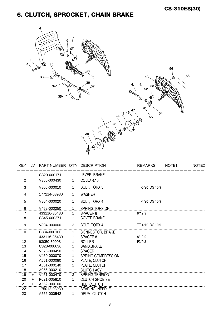# 6. CLUTCH, SPROCKET, CHAIN BRAKE



| <b>KEY</b>     | LV. | PART NUMBER Q'TY DESCRIPTION |              |                         | <b>REMARKS</b>  | NOTE1 | NOTE <sub>2</sub> |
|----------------|-----|------------------------------|--------------|-------------------------|-----------------|-------|-------------------|
| 1              |     | C320-000171                  | $\mathbf 1$  | LEVER, BRAKE            |                 |       |                   |
| $\overline{2}$ |     | V356-000430                  | 1            | COLLAR, 10              |                 |       |                   |
| 3              |     | V805-000010                  | 1            | BOLT, TORX 5            | TT-5*20 DG 10.9 |       |                   |
| 4              |     | 177214-03930                 | 1            | <b>WASHER</b>           |                 |       |                   |
| 5              |     | V804-000020                  | 1            | BOLT, TORX 4            | TT-4*20 DG 10.9 |       |                   |
| 6              |     | V452-000250                  | $\mathbf 1$  | SPRING, TORSION         |                 |       |                   |
| 7              |     | 433116-35430                 | $\mathbf{1}$ | SPACER <sub>8</sub>     | $8*12*9$        |       |                   |
| 8              |     | C345-000271                  | 1.           | COVER, BRAKE            |                 |       |                   |
| 9              |     | V804-000000                  | 3            | BOLT, TORX 4            | TT-4*12 DG 10.9 |       |                   |
| 10             |     | C334-000100                  | 1            | <b>CONNECTOR, BRAKE</b> |                 |       |                   |
| 11             |     | 433116-35430                 | 1            | SPACER <sub>8</sub>     | $8*12*9$        |       |                   |
| 12             |     | 93050-30098                  | $\mathbf 1$  | <b>ROLLER</b>           | F3*9.8          |       |                   |
| 13             |     | C328-000030                  | 1.           | <b>BAND, BRAKE</b>      |                 |       |                   |
| 14             |     | V376-000450                  | 1            | <b>SPACER</b>           |                 |       |                   |
| 15             |     | V450-000070                  | $\mathbf{1}$ | SPRING.COMPRESSION      |                 |       |                   |
| 16             |     | A551-000080                  | 1            | PLATE, CLUTCH           |                 |       |                   |
| 17             |     | A551-000140                  | 1            | PLATE, CLUTCH           |                 |       |                   |
| 18             |     | A056-000210                  | $\mathbf{1}$ | <b>CLUTCH ASY</b>       |                 |       |                   |
| 19             | $+$ | V451-000470                  | 3            | SPRING, TENSION         |                 |       |                   |
| 20             | $+$ | P021-005810                  | 1            | <b>CLUTCH SHOE SET</b>  |                 |       |                   |
| 21             | $+$ | A552-000100                  | $\mathbf{1}$ | <b>HUB, CLUTCH</b>      |                 |       |                   |
| 22             |     | 175012-03930                 | $\mathbf 1$  | <b>BEARING, NEEDLE</b>  |                 |       |                   |
| 23             |     | A556-000542                  | 1            | DRUM, CLUTCH            |                 |       |                   |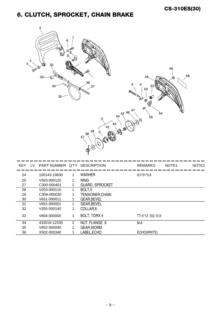# 6. CLUTCH, SPROCKET, CHAIN BRAKE



| <b>KEY</b> | LV. | PART NUMBER Q'TY DESCRIPTION |    |                         | <b>REMARKS</b>  | NOTE <sub>1</sub> | NOTE <sub>2</sub> |
|------------|-----|------------------------------|----|-------------------------|-----------------|-------------------|-------------------|
| 24         |     | 100143-19830                 | 1. | <b>WASHER</b>           | $8.2*31*0.8$    |                   |                   |
| 25         |     | V583-000120                  |    | <b>RING</b>             |                 |                   |                   |
| 27         |     | C300-000401                  |    | <b>GUARD, SPROCKET</b>  |                 |                   |                   |
| 28         |     | V203-000110                  |    | BOLT <sub>.5</sub>      |                 |                   |                   |
| 29         |     | C309-000030                  |    | <b>TENSIONER, CHAIN</b> |                 |                   |                   |
| 30         |     | V651-000011                  |    | <b>GEAR, BEVEL</b>      |                 |                   |                   |
| 31         |     | V651-000001                  |    | <b>GEAR, BEVEL</b>      |                 |                   |                   |
| 32         |     | V355-000140                  |    | COLLAR <sub>.8</sub>    |                 |                   |                   |
| 33         |     | V804-000000                  |    | BOLT, TORX 4            | TT-4*12 DG 10.9 |                   |                   |
| 34         |     | 433019-12330                 | 2  | NUT, FLANGE 8           | M-8             |                   |                   |
| 35         |     | V652-000040                  |    | <b>GEAR, WORM</b>       |                 |                   |                   |
| 36         |     | X502-000340                  |    | LABEL, ECHO             | ECHO(WHITE)     |                   |                   |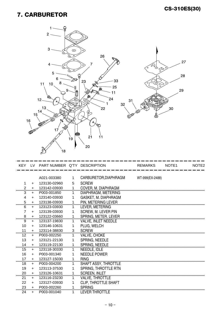#### 7. CARBURETOR



| KEY            |     | LV PART NUMBER Q'TY DESCRIPTION |    |                             | <b>REMARKS</b>  | NOTE <sub>1</sub> | NOTE <sub>2</sub> |
|----------------|-----|---------------------------------|----|-----------------------------|-----------------|-------------------|-------------------|
|                |     |                                 |    |                             |                 |                   |                   |
|                |     | A021-003380                     | 1  | CARBURETOR, DIAPHRAGM       | WT-999(EX-2488) |                   |                   |
| 1              | $+$ | 123130-02960                    | 5  | <b>SCREW</b>                |                 |                   |                   |
| $\overline{c}$ | $+$ | 123142-03930                    | 1  | COVER, M. DIAPHRAGM         |                 |                   |                   |
| 3<br>$+$       |     | P003-001850                     |    | DIAPHRAGM, METERING         |                 |                   |                   |
| 4              | $+$ | 123140-03930                    |    | GASKET, M. DIAPHRAGM        |                 |                   |                   |
| 5              | $+$ | 123138-03930                    |    | <b>PIN. METERING LEVER</b>  |                 |                   |                   |
| 6              | $+$ | 123123-03930                    |    | LEVER, METERING             |                 |                   |                   |
| 7              | $+$ | 123139-03930                    | 1  | <b>SCREW, M. LEVER PIN</b>  |                 |                   |                   |
| 8              | $+$ | 123122-03660                    |    | SPRING, METER. LEVER        |                 |                   |                   |
| 9              | $+$ | 123137-19830                    |    | <b>VALVE, INLET NEEDLE</b>  |                 |                   |                   |
| 10             | $+$ | 123146-10631                    |    | PLUG, WELCH                 |                 |                   |                   |
| 11             | $+$ | 123114-38830                    | 3  | <b>SCREW</b>                |                 |                   |                   |
| 12             | $+$ | P003-002250                     | 1. | VALVE, CHOKE                |                 |                   |                   |
| 13             | $+$ | 123121-22130                    | 1  | <b>SPRING, NEEDLE</b>       |                 |                   |                   |
| 14             | $+$ | 123119-22130                    | 1  | SPRING, NEEDLE              |                 |                   |                   |
| 15             | $+$ | 123118-30330                    | 1. | NEEDLE, IDLE                |                 |                   |                   |
| 16             | $+$ | P003-001340                     |    | <b>NEEDLE POWER</b>         |                 |                   |                   |
| 17             | $+$ | 123127-15030                    |    | <b>RING</b>                 |                 |                   |                   |
| 18             | $+$ | P003-004200                     |    | SHAFT ASSY, THROTTLE        |                 |                   |                   |
| 19             | $+$ | 123113-37530                    |    | SPRING, THROTTLE RTN        |                 |                   |                   |
| 20             | $+$ | 123126-10631                    |    | <b>SCREEN, INLET</b>        |                 |                   |                   |
| 21             | $+$ | 123116-23230                    |    | <b>VALVE, THROTTLE</b>      |                 |                   |                   |
| 22             | $+$ | 123127-03930                    |    | <b>CLIP, THROTTLE SHAFT</b> |                 |                   |                   |
| 23             | $+$ | P003-002260                     |    | <b>SPRING</b>               |                 |                   |                   |
| 24             | $+$ | P003-001040                     | 1  | <b>LEVER THROTTLE</b>       |                 |                   |                   |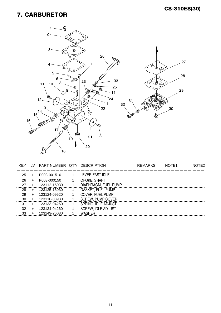#### 7. CARBURETOR



| <b>KEY</b> | TV.       | PART NUMBER Q'TY DESCRIPTION |   |                           | <b>REMARKS</b> | NOTF1 | NOTE <sub>2</sub> |
|------------|-----------|------------------------------|---|---------------------------|----------------|-------|-------------------|
|            |           |                              |   |                           |                |       |                   |
| 25         |           | P003-001510                  |   | LEVER-FAST IDLE           |                |       |                   |
| 26         | $\ddot{}$ | P003-000150                  |   | <b>CHOKE, SHAFT</b>       |                |       |                   |
| 27         | +         | 123112-15030                 |   | DIAPHRAGM, FUEL PUMP      |                |       |                   |
| 28         | $\ddot{}$ | 123125-15030                 | 1 | <b>GASKET, FUEL PUMP</b>  |                |       |                   |
| 29         | +         | 123124-09520                 |   | <b>COVER, FUEL PUMP</b>   |                |       |                   |
| 30         |           | 123110-03930                 |   | <b>SCREW, PUMP COVER</b>  |                |       |                   |
| 31         |           | 123133-04260                 |   | SPRING, IDLE ADJUST       |                |       |                   |
| 32         | $\div$    | 123134-04260                 |   | <b>SCREW, IDLE ADJUST</b> |                |       |                   |
| 33         |           | 123149-26030                 |   | WASHER                    |                |       |                   |
|            |           |                              |   |                           |                |       |                   |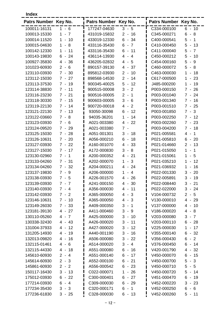| Index |  |  |  |
|-------|--|--|--|
|       |  |  |  |

| 100011-16131<br>177247-04630<br>C334-000100<br>$3 - 5$<br>$6 - 10$<br>1 - 6<br>$-7$<br>431019-15832<br>C345-000271<br>$6 - 8$<br>100013-15330<br>$2 -$<br>16<br>$\mathbf 1$<br>34<br>10<br>6<br>C400-000541<br>5<br>100014-11520<br>$\mathbf{1}$<br>433019-12330<br>$\blacksquare$<br>$\blacksquare$<br>$\overline{1}$<br>$\blacksquare$<br>8<br>$-7$<br>C410-000450<br>5<br>$-13$<br>100015-04630<br>1<br>433116-35430<br>6<br>$\overline{\phantom{0}}$<br>100142-12330<br>433116-35430<br>6<br>11<br>C411-000040<br>$5 -$<br>$\mathbf{1}$<br>11<br>$\blacksquare$<br>$\overline{7}$<br>$\blacksquare$<br>24<br>C450-000212<br>5<br>100143-19830<br>6<br>436114-13930<br>4<br>$-4$<br>10<br>$\sim$<br>$\blacksquare$<br>36<br>5<br>100927-35830<br>436205-02832<br>$\overline{4}$<br>5<br>C454-000160<br>$\blacksquare$<br>9<br>4<br>$\blacksquare$<br>$\blacksquare$<br>C460-000072<br>5<br>$-8$<br>101023-60930<br>$\overline{2}$<br>6<br>890157-39130<br>4<br>37<br>$\blacksquare$<br>$\blacksquare$<br>123110-03930<br>$7 -$<br>30<br>895812-03930<br>$\blacksquare$<br>10<br>C463-000030<br>$\mathbf 1$<br>18<br>$\overline{2}$<br>$\overline{\phantom{a}}$<br>$7 - 27$<br>14<br>C617-000500<br>123112-15030<br>898568-14530<br>$\overline{2}$<br>$\mathbf{1}$<br>23<br>$\overline{\phantom{a}}$<br>$\overline{\phantom{a}}$<br>5<br>12<br>19<br>123113-37530<br>$7 - 19$<br>900345-40025<br>$\blacksquare$<br>J485-000200<br>1<br>$\overline{a}$<br>3<br>$\overline{2}$<br>123114-38830<br>$7 - 11$<br>900515-00008<br>P003-000150<br>$7 -$<br>26<br>$\blacksquare$<br>24<br>123116-23230<br>$7 - 21$<br>900516-00005<br>$\overline{2}$<br>$\overline{1}$<br>P003-001040<br>$7 -$<br>$\blacksquare$<br>$7 - 15$<br>3<br>6<br>P003-001340<br>123118-30330<br>900603-00005<br>$7 -$<br>16<br>$\sim$<br>4 -<br>$\overline{2}$<br>$7 - 25$<br>123119-22130<br>$7 - 14$<br>900720-00018<br>P003-001510<br>123121-22130<br>$7 - 13$<br>93050-30098<br>6<br>$-12$<br>P003-001850<br>$7 - 3$<br>$\mathbf{1}$<br>14<br>123122-03660<br>$7 - 8$<br>94035-36201<br>P003-002250<br>$7 - 12$<br>$\blacksquare$<br>A021-003380<br>$4 - 22$<br>P003-002260<br>123123-03930<br>$7 - 6$<br>$7 - 23$<br>$\overline{7}$<br>P003-004200<br>$7 - 18$<br>123124-09520<br>$7 - 29$<br>A021-003380<br>$\blacksquare$<br>123125-15030<br>$7 - 28$<br>A051-001301<br>3<br>18<br>P021-005581<br>$4 -$<br>$\overline{1}$<br>$\blacksquare$<br>$7 - 20$<br>6<br>18<br>P021-005810<br>$6 - 20$<br>123126-10631<br>A056-000210<br>$\blacksquare$<br>$7 - 22$<br>A160-001070<br>-33<br>P021-014660<br>13<br>123127-03930<br>$\overline{4}$<br>$2 -$<br>$\blacksquare$<br>$7 - 17$<br>3<br>8<br>$\mathbf{1}$<br>$\overline{1}$<br>123127-15030<br>A172-000830<br>P021-015050<br>$\blacksquare$<br>$\blacksquare$<br>A200-000352<br>21<br>P021-015061<br>123130-02960<br>$7 -$<br>1<br>$\overline{4}$<br>$\mathbf 1$<br>5<br>$\blacksquare$<br>$\blacksquare$<br>$\mathbf{3}$<br>123133-04260<br>$7 - 31$<br>A202-000070<br>$\mathbf{1}$<br>P021-035210<br>12<br>1<br>$\overline{\phantom{a}}$<br>$\blacksquare$<br>$7 - 32$<br>A204-000211<br>P021-036932<br>123134-04260<br>$\overline{4}$<br>$-24$<br>16<br>1<br>$\overline{a}$<br>$7 - 9$<br>20<br>123137-19830<br>A206-000000<br>$\mathbf{1}$<br>$-4$<br>P022-001330<br>3<br>$\sim$<br>26<br>3<br>19<br>123138-03930<br>$7 - 5$<br>A226-001570<br>4<br>P022-005891<br>$\overline{\phantom{a}}$<br>$\blacksquare$<br>30<br>$3 -$<br>21<br>123139-03930<br>$7 -$<br>$\overline{7}$<br>A241-000150<br>P022-008440<br>$4 -$<br>A356-000030<br>P022-022000<br>$3 - 24$<br>123140-03930<br>$7 - 4$<br>$4 - 11$<br>123142-03930<br>A365-000050<br>$-3$<br>V104-000732<br>$2 - 5$<br>$7 - 2$<br>4<br>123146-10631<br>$7 - 10$<br>A365-000050<br>V130-000010<br>$4 - 29$<br>$4 - 3$<br>V137-000000<br>123149-26030<br>$7 - 33$<br>A409-000350<br>$3 - 1$<br>$4 - 10$<br>123181-39130<br>A411-000460<br>3<br>V186-000020<br>$4 - 8$<br>$4 - 27$<br>- 9<br>130110-05260<br>$4 - 7$<br>A425-000000<br>3<br>V203-000080<br>$3 - 7$<br>$-10$<br>130338-32430<br>A426-000020<br>3<br>V203-000110<br>$4 - 43$<br>11<br>$6 - 28$<br>$\overline{\phantom{a}}$<br>A427-000020<br>V225-000030<br>131004-37933<br>$4 - 12$<br>3<br>12<br>17<br>$1 -$<br>$\overline{\phantom{a}}$<br>131205-14930<br>A440-001190<br>3<br>V355-000140<br>$6 - 32$<br>4 - 19<br>-16<br>$\overline{\phantom{a}}$<br>A506-000080<br>3<br>V356-000430<br>$6 - 2$<br>132013-09820<br>$4 - 16$<br>$-22$<br>132115-01461<br>A514-000020<br>$3 - 4$<br>V376-000450<br>$6 - 14$<br>$4 - 6$<br>A551-000080<br>$6 - 16$<br>V420-001790<br>$4 - 32$<br>132115-44330<br>$4 - 18$<br>145610-60930<br>$2 - 4$<br>A551-000140<br>6<br>V450-000070<br>$6 - 15$<br>$-17$<br>A552-000100<br>V450-000700<br>145614-60930<br>$2 - 3$<br>$6 - 21$<br>$5 - 3$<br>145861-60930<br>A556-000542<br>V450-000710<br>$5 - 5$<br>$2 - 2$<br>$6 - 23$<br>150117-16430<br>$3 - 13$<br>C022-000071<br>$-26$<br>V450-000720<br>1<br>$5 - 14$<br>C300-000401<br>V451-000470<br>175012-03930<br>$6 - 22$<br>$6 - 27$<br>6 -<br>19<br>C309-000030<br>177214-03930<br>$6 - 4$<br>6<br>V452-000220<br>$3 - 23$<br>- 29<br>177234-35430<br>C320-000171<br>6<br>$-1$<br>V452-000250<br>$6 - 6$<br>$3 - 3$ | Patrs Number Key No. |          | Patrs Number Key No. |          | Patrs Number Key No. |          |
|-----------------------------------------------------------------------------------------------------------------------------------------------------------------------------------------------------------------------------------------------------------------------------------------------------------------------------------------------------------------------------------------------------------------------------------------------------------------------------------------------------------------------------------------------------------------------------------------------------------------------------------------------------------------------------------------------------------------------------------------------------------------------------------------------------------------------------------------------------------------------------------------------------------------------------------------------------------------------------------------------------------------------------------------------------------------------------------------------------------------------------------------------------------------------------------------------------------------------------------------------------------------------------------------------------------------------------------------------------------------------------------------------------------------------------------------------------------------------------------------------------------------------------------------------------------------------------------------------------------------------------------------------------------------------------------------------------------------------------------------------------------------------------------------------------------------------------------------------------------------------------------------------------------------------------------------------------------------------------------------------------------------------------------------------------------------------------------------------------------------------------------------------------------------------------------------------------------------------------------------------------------------------------------------------------------------------------------------------------------------------------------------------------------------------------------------------------------------------------------------------------------------------------------------------------------------------------------------------------------------------------------------------------------------------------------------------------------------------------------------------------------------------------------------------------------------------------------------------------------------------------------------------------------------------------------------------------------------------------------------------------------------------------------------------------------------------------------------------------------------------------------------------------------------------------------------------------------------------------------------------------------------------------------------------------------------------------------------------------------------------------------------------------------------------------------------------------------------------------------------------------------------------------------------------------------------------------------------------------------------------------------------------------------------------------------------------------------------------------------------------------------------------------------------------------------------------------------------------------------------------------------------------------------------------------------------------------------------------------------------------------------------------------------------------------------------------------------------------------------------------------------------------------------------------------------------------------------------------------------------------------------------------------------------------------------------------------------------------------------------------------------------------------------------------------------------------------------------------------------------------------------------------------------------------------------------------------------------------------------------------------------------------------------------------------------------------------------------------------------------------------------------------------------------------------------------------------------------------------------------------------------------------------------------------------------------------------------------------------------------------------------------------------------------------------------------------------------------------------------------------------------------------------------------------------------------------------------------------------------------------------|----------------------|----------|----------------------|----------|----------------------|----------|
|                                                                                                                                                                                                                                                                                                                                                                                                                                                                                                                                                                                                                                                                                                                                                                                                                                                                                                                                                                                                                                                                                                                                                                                                                                                                                                                                                                                                                                                                                                                                                                                                                                                                                                                                                                                                                                                                                                                                                                                                                                                                                                                                                                                                                                                                                                                                                                                                                                                                                                                                                                                                                                                                                                                                                                                                                                                                                                                                                                                                                                                                                                                                                                                                                                                                                                                                                                                                                                                                                                                                                                                                                                                                                                                                                                                                                                                                                                                                                                                                                                                                                                                                                                                                                                                                                                                                                                                                                                                                                                                                                                                                                                                                                                                                                                                                                                                                                                                                                                                                                                                                                                                                                                                                                                                     |                      |          |                      |          |                      |          |
|                                                                                                                                                                                                                                                                                                                                                                                                                                                                                                                                                                                                                                                                                                                                                                                                                                                                                                                                                                                                                                                                                                                                                                                                                                                                                                                                                                                                                                                                                                                                                                                                                                                                                                                                                                                                                                                                                                                                                                                                                                                                                                                                                                                                                                                                                                                                                                                                                                                                                                                                                                                                                                                                                                                                                                                                                                                                                                                                                                                                                                                                                                                                                                                                                                                                                                                                                                                                                                                                                                                                                                                                                                                                                                                                                                                                                                                                                                                                                                                                                                                                                                                                                                                                                                                                                                                                                                                                                                                                                                                                                                                                                                                                                                                                                                                                                                                                                                                                                                                                                                                                                                                                                                                                                                                     |                      |          |                      |          |                      |          |
|                                                                                                                                                                                                                                                                                                                                                                                                                                                                                                                                                                                                                                                                                                                                                                                                                                                                                                                                                                                                                                                                                                                                                                                                                                                                                                                                                                                                                                                                                                                                                                                                                                                                                                                                                                                                                                                                                                                                                                                                                                                                                                                                                                                                                                                                                                                                                                                                                                                                                                                                                                                                                                                                                                                                                                                                                                                                                                                                                                                                                                                                                                                                                                                                                                                                                                                                                                                                                                                                                                                                                                                                                                                                                                                                                                                                                                                                                                                                                                                                                                                                                                                                                                                                                                                                                                                                                                                                                                                                                                                                                                                                                                                                                                                                                                                                                                                                                                                                                                                                                                                                                                                                                                                                                                                     |                      |          |                      |          |                      |          |
|                                                                                                                                                                                                                                                                                                                                                                                                                                                                                                                                                                                                                                                                                                                                                                                                                                                                                                                                                                                                                                                                                                                                                                                                                                                                                                                                                                                                                                                                                                                                                                                                                                                                                                                                                                                                                                                                                                                                                                                                                                                                                                                                                                                                                                                                                                                                                                                                                                                                                                                                                                                                                                                                                                                                                                                                                                                                                                                                                                                                                                                                                                                                                                                                                                                                                                                                                                                                                                                                                                                                                                                                                                                                                                                                                                                                                                                                                                                                                                                                                                                                                                                                                                                                                                                                                                                                                                                                                                                                                                                                                                                                                                                                                                                                                                                                                                                                                                                                                                                                                                                                                                                                                                                                                                                     |                      |          |                      |          |                      |          |
|                                                                                                                                                                                                                                                                                                                                                                                                                                                                                                                                                                                                                                                                                                                                                                                                                                                                                                                                                                                                                                                                                                                                                                                                                                                                                                                                                                                                                                                                                                                                                                                                                                                                                                                                                                                                                                                                                                                                                                                                                                                                                                                                                                                                                                                                                                                                                                                                                                                                                                                                                                                                                                                                                                                                                                                                                                                                                                                                                                                                                                                                                                                                                                                                                                                                                                                                                                                                                                                                                                                                                                                                                                                                                                                                                                                                                                                                                                                                                                                                                                                                                                                                                                                                                                                                                                                                                                                                                                                                                                                                                                                                                                                                                                                                                                                                                                                                                                                                                                                                                                                                                                                                                                                                                                                     |                      |          |                      |          |                      |          |
|                                                                                                                                                                                                                                                                                                                                                                                                                                                                                                                                                                                                                                                                                                                                                                                                                                                                                                                                                                                                                                                                                                                                                                                                                                                                                                                                                                                                                                                                                                                                                                                                                                                                                                                                                                                                                                                                                                                                                                                                                                                                                                                                                                                                                                                                                                                                                                                                                                                                                                                                                                                                                                                                                                                                                                                                                                                                                                                                                                                                                                                                                                                                                                                                                                                                                                                                                                                                                                                                                                                                                                                                                                                                                                                                                                                                                                                                                                                                                                                                                                                                                                                                                                                                                                                                                                                                                                                                                                                                                                                                                                                                                                                                                                                                                                                                                                                                                                                                                                                                                                                                                                                                                                                                                                                     |                      |          |                      |          |                      |          |
|                                                                                                                                                                                                                                                                                                                                                                                                                                                                                                                                                                                                                                                                                                                                                                                                                                                                                                                                                                                                                                                                                                                                                                                                                                                                                                                                                                                                                                                                                                                                                                                                                                                                                                                                                                                                                                                                                                                                                                                                                                                                                                                                                                                                                                                                                                                                                                                                                                                                                                                                                                                                                                                                                                                                                                                                                                                                                                                                                                                                                                                                                                                                                                                                                                                                                                                                                                                                                                                                                                                                                                                                                                                                                                                                                                                                                                                                                                                                                                                                                                                                                                                                                                                                                                                                                                                                                                                                                                                                                                                                                                                                                                                                                                                                                                                                                                                                                                                                                                                                                                                                                                                                                                                                                                                     |                      |          |                      |          |                      |          |
|                                                                                                                                                                                                                                                                                                                                                                                                                                                                                                                                                                                                                                                                                                                                                                                                                                                                                                                                                                                                                                                                                                                                                                                                                                                                                                                                                                                                                                                                                                                                                                                                                                                                                                                                                                                                                                                                                                                                                                                                                                                                                                                                                                                                                                                                                                                                                                                                                                                                                                                                                                                                                                                                                                                                                                                                                                                                                                                                                                                                                                                                                                                                                                                                                                                                                                                                                                                                                                                                                                                                                                                                                                                                                                                                                                                                                                                                                                                                                                                                                                                                                                                                                                                                                                                                                                                                                                                                                                                                                                                                                                                                                                                                                                                                                                                                                                                                                                                                                                                                                                                                                                                                                                                                                                                     |                      |          |                      |          |                      |          |
|                                                                                                                                                                                                                                                                                                                                                                                                                                                                                                                                                                                                                                                                                                                                                                                                                                                                                                                                                                                                                                                                                                                                                                                                                                                                                                                                                                                                                                                                                                                                                                                                                                                                                                                                                                                                                                                                                                                                                                                                                                                                                                                                                                                                                                                                                                                                                                                                                                                                                                                                                                                                                                                                                                                                                                                                                                                                                                                                                                                                                                                                                                                                                                                                                                                                                                                                                                                                                                                                                                                                                                                                                                                                                                                                                                                                                                                                                                                                                                                                                                                                                                                                                                                                                                                                                                                                                                                                                                                                                                                                                                                                                                                                                                                                                                                                                                                                                                                                                                                                                                                                                                                                                                                                                                                     |                      |          |                      |          |                      |          |
|                                                                                                                                                                                                                                                                                                                                                                                                                                                                                                                                                                                                                                                                                                                                                                                                                                                                                                                                                                                                                                                                                                                                                                                                                                                                                                                                                                                                                                                                                                                                                                                                                                                                                                                                                                                                                                                                                                                                                                                                                                                                                                                                                                                                                                                                                                                                                                                                                                                                                                                                                                                                                                                                                                                                                                                                                                                                                                                                                                                                                                                                                                                                                                                                                                                                                                                                                                                                                                                                                                                                                                                                                                                                                                                                                                                                                                                                                                                                                                                                                                                                                                                                                                                                                                                                                                                                                                                                                                                                                                                                                                                                                                                                                                                                                                                                                                                                                                                                                                                                                                                                                                                                                                                                                                                     |                      |          |                      |          |                      |          |
|                                                                                                                                                                                                                                                                                                                                                                                                                                                                                                                                                                                                                                                                                                                                                                                                                                                                                                                                                                                                                                                                                                                                                                                                                                                                                                                                                                                                                                                                                                                                                                                                                                                                                                                                                                                                                                                                                                                                                                                                                                                                                                                                                                                                                                                                                                                                                                                                                                                                                                                                                                                                                                                                                                                                                                                                                                                                                                                                                                                                                                                                                                                                                                                                                                                                                                                                                                                                                                                                                                                                                                                                                                                                                                                                                                                                                                                                                                                                                                                                                                                                                                                                                                                                                                                                                                                                                                                                                                                                                                                                                                                                                                                                                                                                                                                                                                                                                                                                                                                                                                                                                                                                                                                                                                                     |                      |          |                      |          |                      |          |
|                                                                                                                                                                                                                                                                                                                                                                                                                                                                                                                                                                                                                                                                                                                                                                                                                                                                                                                                                                                                                                                                                                                                                                                                                                                                                                                                                                                                                                                                                                                                                                                                                                                                                                                                                                                                                                                                                                                                                                                                                                                                                                                                                                                                                                                                                                                                                                                                                                                                                                                                                                                                                                                                                                                                                                                                                                                                                                                                                                                                                                                                                                                                                                                                                                                                                                                                                                                                                                                                                                                                                                                                                                                                                                                                                                                                                                                                                                                                                                                                                                                                                                                                                                                                                                                                                                                                                                                                                                                                                                                                                                                                                                                                                                                                                                                                                                                                                                                                                                                                                                                                                                                                                                                                                                                     |                      |          |                      |          |                      |          |
|                                                                                                                                                                                                                                                                                                                                                                                                                                                                                                                                                                                                                                                                                                                                                                                                                                                                                                                                                                                                                                                                                                                                                                                                                                                                                                                                                                                                                                                                                                                                                                                                                                                                                                                                                                                                                                                                                                                                                                                                                                                                                                                                                                                                                                                                                                                                                                                                                                                                                                                                                                                                                                                                                                                                                                                                                                                                                                                                                                                                                                                                                                                                                                                                                                                                                                                                                                                                                                                                                                                                                                                                                                                                                                                                                                                                                                                                                                                                                                                                                                                                                                                                                                                                                                                                                                                                                                                                                                                                                                                                                                                                                                                                                                                                                                                                                                                                                                                                                                                                                                                                                                                                                                                                                                                     |                      |          |                      |          |                      |          |
|                                                                                                                                                                                                                                                                                                                                                                                                                                                                                                                                                                                                                                                                                                                                                                                                                                                                                                                                                                                                                                                                                                                                                                                                                                                                                                                                                                                                                                                                                                                                                                                                                                                                                                                                                                                                                                                                                                                                                                                                                                                                                                                                                                                                                                                                                                                                                                                                                                                                                                                                                                                                                                                                                                                                                                                                                                                                                                                                                                                                                                                                                                                                                                                                                                                                                                                                                                                                                                                                                                                                                                                                                                                                                                                                                                                                                                                                                                                                                                                                                                                                                                                                                                                                                                                                                                                                                                                                                                                                                                                                                                                                                                                                                                                                                                                                                                                                                                                                                                                                                                                                                                                                                                                                                                                     |                      |          |                      |          |                      |          |
|                                                                                                                                                                                                                                                                                                                                                                                                                                                                                                                                                                                                                                                                                                                                                                                                                                                                                                                                                                                                                                                                                                                                                                                                                                                                                                                                                                                                                                                                                                                                                                                                                                                                                                                                                                                                                                                                                                                                                                                                                                                                                                                                                                                                                                                                                                                                                                                                                                                                                                                                                                                                                                                                                                                                                                                                                                                                                                                                                                                                                                                                                                                                                                                                                                                                                                                                                                                                                                                                                                                                                                                                                                                                                                                                                                                                                                                                                                                                                                                                                                                                                                                                                                                                                                                                                                                                                                                                                                                                                                                                                                                                                                                                                                                                                                                                                                                                                                                                                                                                                                                                                                                                                                                                                                                     |                      |          |                      |          |                      |          |
|                                                                                                                                                                                                                                                                                                                                                                                                                                                                                                                                                                                                                                                                                                                                                                                                                                                                                                                                                                                                                                                                                                                                                                                                                                                                                                                                                                                                                                                                                                                                                                                                                                                                                                                                                                                                                                                                                                                                                                                                                                                                                                                                                                                                                                                                                                                                                                                                                                                                                                                                                                                                                                                                                                                                                                                                                                                                                                                                                                                                                                                                                                                                                                                                                                                                                                                                                                                                                                                                                                                                                                                                                                                                                                                                                                                                                                                                                                                                                                                                                                                                                                                                                                                                                                                                                                                                                                                                                                                                                                                                                                                                                                                                                                                                                                                                                                                                                                                                                                                                                                                                                                                                                                                                                                                     |                      |          |                      |          |                      |          |
|                                                                                                                                                                                                                                                                                                                                                                                                                                                                                                                                                                                                                                                                                                                                                                                                                                                                                                                                                                                                                                                                                                                                                                                                                                                                                                                                                                                                                                                                                                                                                                                                                                                                                                                                                                                                                                                                                                                                                                                                                                                                                                                                                                                                                                                                                                                                                                                                                                                                                                                                                                                                                                                                                                                                                                                                                                                                                                                                                                                                                                                                                                                                                                                                                                                                                                                                                                                                                                                                                                                                                                                                                                                                                                                                                                                                                                                                                                                                                                                                                                                                                                                                                                                                                                                                                                                                                                                                                                                                                                                                                                                                                                                                                                                                                                                                                                                                                                                                                                                                                                                                                                                                                                                                                                                     |                      |          |                      |          |                      |          |
|                                                                                                                                                                                                                                                                                                                                                                                                                                                                                                                                                                                                                                                                                                                                                                                                                                                                                                                                                                                                                                                                                                                                                                                                                                                                                                                                                                                                                                                                                                                                                                                                                                                                                                                                                                                                                                                                                                                                                                                                                                                                                                                                                                                                                                                                                                                                                                                                                                                                                                                                                                                                                                                                                                                                                                                                                                                                                                                                                                                                                                                                                                                                                                                                                                                                                                                                                                                                                                                                                                                                                                                                                                                                                                                                                                                                                                                                                                                                                                                                                                                                                                                                                                                                                                                                                                                                                                                                                                                                                                                                                                                                                                                                                                                                                                                                                                                                                                                                                                                                                                                                                                                                                                                                                                                     |                      |          |                      |          |                      |          |
|                                                                                                                                                                                                                                                                                                                                                                                                                                                                                                                                                                                                                                                                                                                                                                                                                                                                                                                                                                                                                                                                                                                                                                                                                                                                                                                                                                                                                                                                                                                                                                                                                                                                                                                                                                                                                                                                                                                                                                                                                                                                                                                                                                                                                                                                                                                                                                                                                                                                                                                                                                                                                                                                                                                                                                                                                                                                                                                                                                                                                                                                                                                                                                                                                                                                                                                                                                                                                                                                                                                                                                                                                                                                                                                                                                                                                                                                                                                                                                                                                                                                                                                                                                                                                                                                                                                                                                                                                                                                                                                                                                                                                                                                                                                                                                                                                                                                                                                                                                                                                                                                                                                                                                                                                                                     |                      |          |                      |          |                      |          |
|                                                                                                                                                                                                                                                                                                                                                                                                                                                                                                                                                                                                                                                                                                                                                                                                                                                                                                                                                                                                                                                                                                                                                                                                                                                                                                                                                                                                                                                                                                                                                                                                                                                                                                                                                                                                                                                                                                                                                                                                                                                                                                                                                                                                                                                                                                                                                                                                                                                                                                                                                                                                                                                                                                                                                                                                                                                                                                                                                                                                                                                                                                                                                                                                                                                                                                                                                                                                                                                                                                                                                                                                                                                                                                                                                                                                                                                                                                                                                                                                                                                                                                                                                                                                                                                                                                                                                                                                                                                                                                                                                                                                                                                                                                                                                                                                                                                                                                                                                                                                                                                                                                                                                                                                                                                     |                      |          |                      |          |                      |          |
|                                                                                                                                                                                                                                                                                                                                                                                                                                                                                                                                                                                                                                                                                                                                                                                                                                                                                                                                                                                                                                                                                                                                                                                                                                                                                                                                                                                                                                                                                                                                                                                                                                                                                                                                                                                                                                                                                                                                                                                                                                                                                                                                                                                                                                                                                                                                                                                                                                                                                                                                                                                                                                                                                                                                                                                                                                                                                                                                                                                                                                                                                                                                                                                                                                                                                                                                                                                                                                                                                                                                                                                                                                                                                                                                                                                                                                                                                                                                                                                                                                                                                                                                                                                                                                                                                                                                                                                                                                                                                                                                                                                                                                                                                                                                                                                                                                                                                                                                                                                                                                                                                                                                                                                                                                                     |                      |          |                      |          |                      |          |
|                                                                                                                                                                                                                                                                                                                                                                                                                                                                                                                                                                                                                                                                                                                                                                                                                                                                                                                                                                                                                                                                                                                                                                                                                                                                                                                                                                                                                                                                                                                                                                                                                                                                                                                                                                                                                                                                                                                                                                                                                                                                                                                                                                                                                                                                                                                                                                                                                                                                                                                                                                                                                                                                                                                                                                                                                                                                                                                                                                                                                                                                                                                                                                                                                                                                                                                                                                                                                                                                                                                                                                                                                                                                                                                                                                                                                                                                                                                                                                                                                                                                                                                                                                                                                                                                                                                                                                                                                                                                                                                                                                                                                                                                                                                                                                                                                                                                                                                                                                                                                                                                                                                                                                                                                                                     |                      |          |                      |          |                      |          |
|                                                                                                                                                                                                                                                                                                                                                                                                                                                                                                                                                                                                                                                                                                                                                                                                                                                                                                                                                                                                                                                                                                                                                                                                                                                                                                                                                                                                                                                                                                                                                                                                                                                                                                                                                                                                                                                                                                                                                                                                                                                                                                                                                                                                                                                                                                                                                                                                                                                                                                                                                                                                                                                                                                                                                                                                                                                                                                                                                                                                                                                                                                                                                                                                                                                                                                                                                                                                                                                                                                                                                                                                                                                                                                                                                                                                                                                                                                                                                                                                                                                                                                                                                                                                                                                                                                                                                                                                                                                                                                                                                                                                                                                                                                                                                                                                                                                                                                                                                                                                                                                                                                                                                                                                                                                     |                      |          |                      |          |                      |          |
|                                                                                                                                                                                                                                                                                                                                                                                                                                                                                                                                                                                                                                                                                                                                                                                                                                                                                                                                                                                                                                                                                                                                                                                                                                                                                                                                                                                                                                                                                                                                                                                                                                                                                                                                                                                                                                                                                                                                                                                                                                                                                                                                                                                                                                                                                                                                                                                                                                                                                                                                                                                                                                                                                                                                                                                                                                                                                                                                                                                                                                                                                                                                                                                                                                                                                                                                                                                                                                                                                                                                                                                                                                                                                                                                                                                                                                                                                                                                                                                                                                                                                                                                                                                                                                                                                                                                                                                                                                                                                                                                                                                                                                                                                                                                                                                                                                                                                                                                                                                                                                                                                                                                                                                                                                                     |                      |          |                      |          |                      |          |
|                                                                                                                                                                                                                                                                                                                                                                                                                                                                                                                                                                                                                                                                                                                                                                                                                                                                                                                                                                                                                                                                                                                                                                                                                                                                                                                                                                                                                                                                                                                                                                                                                                                                                                                                                                                                                                                                                                                                                                                                                                                                                                                                                                                                                                                                                                                                                                                                                                                                                                                                                                                                                                                                                                                                                                                                                                                                                                                                                                                                                                                                                                                                                                                                                                                                                                                                                                                                                                                                                                                                                                                                                                                                                                                                                                                                                                                                                                                                                                                                                                                                                                                                                                                                                                                                                                                                                                                                                                                                                                                                                                                                                                                                                                                                                                                                                                                                                                                                                                                                                                                                                                                                                                                                                                                     |                      |          |                      |          |                      |          |
|                                                                                                                                                                                                                                                                                                                                                                                                                                                                                                                                                                                                                                                                                                                                                                                                                                                                                                                                                                                                                                                                                                                                                                                                                                                                                                                                                                                                                                                                                                                                                                                                                                                                                                                                                                                                                                                                                                                                                                                                                                                                                                                                                                                                                                                                                                                                                                                                                                                                                                                                                                                                                                                                                                                                                                                                                                                                                                                                                                                                                                                                                                                                                                                                                                                                                                                                                                                                                                                                                                                                                                                                                                                                                                                                                                                                                                                                                                                                                                                                                                                                                                                                                                                                                                                                                                                                                                                                                                                                                                                                                                                                                                                                                                                                                                                                                                                                                                                                                                                                                                                                                                                                                                                                                                                     |                      |          |                      |          |                      |          |
|                                                                                                                                                                                                                                                                                                                                                                                                                                                                                                                                                                                                                                                                                                                                                                                                                                                                                                                                                                                                                                                                                                                                                                                                                                                                                                                                                                                                                                                                                                                                                                                                                                                                                                                                                                                                                                                                                                                                                                                                                                                                                                                                                                                                                                                                                                                                                                                                                                                                                                                                                                                                                                                                                                                                                                                                                                                                                                                                                                                                                                                                                                                                                                                                                                                                                                                                                                                                                                                                                                                                                                                                                                                                                                                                                                                                                                                                                                                                                                                                                                                                                                                                                                                                                                                                                                                                                                                                                                                                                                                                                                                                                                                                                                                                                                                                                                                                                                                                                                                                                                                                                                                                                                                                                                                     |                      |          |                      |          |                      |          |
|                                                                                                                                                                                                                                                                                                                                                                                                                                                                                                                                                                                                                                                                                                                                                                                                                                                                                                                                                                                                                                                                                                                                                                                                                                                                                                                                                                                                                                                                                                                                                                                                                                                                                                                                                                                                                                                                                                                                                                                                                                                                                                                                                                                                                                                                                                                                                                                                                                                                                                                                                                                                                                                                                                                                                                                                                                                                                                                                                                                                                                                                                                                                                                                                                                                                                                                                                                                                                                                                                                                                                                                                                                                                                                                                                                                                                                                                                                                                                                                                                                                                                                                                                                                                                                                                                                                                                                                                                                                                                                                                                                                                                                                                                                                                                                                                                                                                                                                                                                                                                                                                                                                                                                                                                                                     |                      |          |                      |          |                      |          |
|                                                                                                                                                                                                                                                                                                                                                                                                                                                                                                                                                                                                                                                                                                                                                                                                                                                                                                                                                                                                                                                                                                                                                                                                                                                                                                                                                                                                                                                                                                                                                                                                                                                                                                                                                                                                                                                                                                                                                                                                                                                                                                                                                                                                                                                                                                                                                                                                                                                                                                                                                                                                                                                                                                                                                                                                                                                                                                                                                                                                                                                                                                                                                                                                                                                                                                                                                                                                                                                                                                                                                                                                                                                                                                                                                                                                                                                                                                                                                                                                                                                                                                                                                                                                                                                                                                                                                                                                                                                                                                                                                                                                                                                                                                                                                                                                                                                                                                                                                                                                                                                                                                                                                                                                                                                     |                      |          |                      |          |                      |          |
|                                                                                                                                                                                                                                                                                                                                                                                                                                                                                                                                                                                                                                                                                                                                                                                                                                                                                                                                                                                                                                                                                                                                                                                                                                                                                                                                                                                                                                                                                                                                                                                                                                                                                                                                                                                                                                                                                                                                                                                                                                                                                                                                                                                                                                                                                                                                                                                                                                                                                                                                                                                                                                                                                                                                                                                                                                                                                                                                                                                                                                                                                                                                                                                                                                                                                                                                                                                                                                                                                                                                                                                                                                                                                                                                                                                                                                                                                                                                                                                                                                                                                                                                                                                                                                                                                                                                                                                                                                                                                                                                                                                                                                                                                                                                                                                                                                                                                                                                                                                                                                                                                                                                                                                                                                                     |                      |          |                      |          |                      |          |
|                                                                                                                                                                                                                                                                                                                                                                                                                                                                                                                                                                                                                                                                                                                                                                                                                                                                                                                                                                                                                                                                                                                                                                                                                                                                                                                                                                                                                                                                                                                                                                                                                                                                                                                                                                                                                                                                                                                                                                                                                                                                                                                                                                                                                                                                                                                                                                                                                                                                                                                                                                                                                                                                                                                                                                                                                                                                                                                                                                                                                                                                                                                                                                                                                                                                                                                                                                                                                                                                                                                                                                                                                                                                                                                                                                                                                                                                                                                                                                                                                                                                                                                                                                                                                                                                                                                                                                                                                                                                                                                                                                                                                                                                                                                                                                                                                                                                                                                                                                                                                                                                                                                                                                                                                                                     |                      |          |                      |          |                      |          |
|                                                                                                                                                                                                                                                                                                                                                                                                                                                                                                                                                                                                                                                                                                                                                                                                                                                                                                                                                                                                                                                                                                                                                                                                                                                                                                                                                                                                                                                                                                                                                                                                                                                                                                                                                                                                                                                                                                                                                                                                                                                                                                                                                                                                                                                                                                                                                                                                                                                                                                                                                                                                                                                                                                                                                                                                                                                                                                                                                                                                                                                                                                                                                                                                                                                                                                                                                                                                                                                                                                                                                                                                                                                                                                                                                                                                                                                                                                                                                                                                                                                                                                                                                                                                                                                                                                                                                                                                                                                                                                                                                                                                                                                                                                                                                                                                                                                                                                                                                                                                                                                                                                                                                                                                                                                     |                      |          |                      |          |                      |          |
|                                                                                                                                                                                                                                                                                                                                                                                                                                                                                                                                                                                                                                                                                                                                                                                                                                                                                                                                                                                                                                                                                                                                                                                                                                                                                                                                                                                                                                                                                                                                                                                                                                                                                                                                                                                                                                                                                                                                                                                                                                                                                                                                                                                                                                                                                                                                                                                                                                                                                                                                                                                                                                                                                                                                                                                                                                                                                                                                                                                                                                                                                                                                                                                                                                                                                                                                                                                                                                                                                                                                                                                                                                                                                                                                                                                                                                                                                                                                                                                                                                                                                                                                                                                                                                                                                                                                                                                                                                                                                                                                                                                                                                                                                                                                                                                                                                                                                                                                                                                                                                                                                                                                                                                                                                                     |                      |          |                      |          |                      |          |
|                                                                                                                                                                                                                                                                                                                                                                                                                                                                                                                                                                                                                                                                                                                                                                                                                                                                                                                                                                                                                                                                                                                                                                                                                                                                                                                                                                                                                                                                                                                                                                                                                                                                                                                                                                                                                                                                                                                                                                                                                                                                                                                                                                                                                                                                                                                                                                                                                                                                                                                                                                                                                                                                                                                                                                                                                                                                                                                                                                                                                                                                                                                                                                                                                                                                                                                                                                                                                                                                                                                                                                                                                                                                                                                                                                                                                                                                                                                                                                                                                                                                                                                                                                                                                                                                                                                                                                                                                                                                                                                                                                                                                                                                                                                                                                                                                                                                                                                                                                                                                                                                                                                                                                                                                                                     |                      |          |                      |          |                      |          |
|                                                                                                                                                                                                                                                                                                                                                                                                                                                                                                                                                                                                                                                                                                                                                                                                                                                                                                                                                                                                                                                                                                                                                                                                                                                                                                                                                                                                                                                                                                                                                                                                                                                                                                                                                                                                                                                                                                                                                                                                                                                                                                                                                                                                                                                                                                                                                                                                                                                                                                                                                                                                                                                                                                                                                                                                                                                                                                                                                                                                                                                                                                                                                                                                                                                                                                                                                                                                                                                                                                                                                                                                                                                                                                                                                                                                                                                                                                                                                                                                                                                                                                                                                                                                                                                                                                                                                                                                                                                                                                                                                                                                                                                                                                                                                                                                                                                                                                                                                                                                                                                                                                                                                                                                                                                     |                      |          |                      |          |                      |          |
|                                                                                                                                                                                                                                                                                                                                                                                                                                                                                                                                                                                                                                                                                                                                                                                                                                                                                                                                                                                                                                                                                                                                                                                                                                                                                                                                                                                                                                                                                                                                                                                                                                                                                                                                                                                                                                                                                                                                                                                                                                                                                                                                                                                                                                                                                                                                                                                                                                                                                                                                                                                                                                                                                                                                                                                                                                                                                                                                                                                                                                                                                                                                                                                                                                                                                                                                                                                                                                                                                                                                                                                                                                                                                                                                                                                                                                                                                                                                                                                                                                                                                                                                                                                                                                                                                                                                                                                                                                                                                                                                                                                                                                                                                                                                                                                                                                                                                                                                                                                                                                                                                                                                                                                                                                                     |                      |          |                      |          |                      |          |
|                                                                                                                                                                                                                                                                                                                                                                                                                                                                                                                                                                                                                                                                                                                                                                                                                                                                                                                                                                                                                                                                                                                                                                                                                                                                                                                                                                                                                                                                                                                                                                                                                                                                                                                                                                                                                                                                                                                                                                                                                                                                                                                                                                                                                                                                                                                                                                                                                                                                                                                                                                                                                                                                                                                                                                                                                                                                                                                                                                                                                                                                                                                                                                                                                                                                                                                                                                                                                                                                                                                                                                                                                                                                                                                                                                                                                                                                                                                                                                                                                                                                                                                                                                                                                                                                                                                                                                                                                                                                                                                                                                                                                                                                                                                                                                                                                                                                                                                                                                                                                                                                                                                                                                                                                                                     |                      |          |                      |          |                      |          |
|                                                                                                                                                                                                                                                                                                                                                                                                                                                                                                                                                                                                                                                                                                                                                                                                                                                                                                                                                                                                                                                                                                                                                                                                                                                                                                                                                                                                                                                                                                                                                                                                                                                                                                                                                                                                                                                                                                                                                                                                                                                                                                                                                                                                                                                                                                                                                                                                                                                                                                                                                                                                                                                                                                                                                                                                                                                                                                                                                                                                                                                                                                                                                                                                                                                                                                                                                                                                                                                                                                                                                                                                                                                                                                                                                                                                                                                                                                                                                                                                                                                                                                                                                                                                                                                                                                                                                                                                                                                                                                                                                                                                                                                                                                                                                                                                                                                                                                                                                                                                                                                                                                                                                                                                                                                     |                      |          |                      |          |                      |          |
|                                                                                                                                                                                                                                                                                                                                                                                                                                                                                                                                                                                                                                                                                                                                                                                                                                                                                                                                                                                                                                                                                                                                                                                                                                                                                                                                                                                                                                                                                                                                                                                                                                                                                                                                                                                                                                                                                                                                                                                                                                                                                                                                                                                                                                                                                                                                                                                                                                                                                                                                                                                                                                                                                                                                                                                                                                                                                                                                                                                                                                                                                                                                                                                                                                                                                                                                                                                                                                                                                                                                                                                                                                                                                                                                                                                                                                                                                                                                                                                                                                                                                                                                                                                                                                                                                                                                                                                                                                                                                                                                                                                                                                                                                                                                                                                                                                                                                                                                                                                                                                                                                                                                                                                                                                                     |                      |          |                      |          |                      |          |
|                                                                                                                                                                                                                                                                                                                                                                                                                                                                                                                                                                                                                                                                                                                                                                                                                                                                                                                                                                                                                                                                                                                                                                                                                                                                                                                                                                                                                                                                                                                                                                                                                                                                                                                                                                                                                                                                                                                                                                                                                                                                                                                                                                                                                                                                                                                                                                                                                                                                                                                                                                                                                                                                                                                                                                                                                                                                                                                                                                                                                                                                                                                                                                                                                                                                                                                                                                                                                                                                                                                                                                                                                                                                                                                                                                                                                                                                                                                                                                                                                                                                                                                                                                                                                                                                                                                                                                                                                                                                                                                                                                                                                                                                                                                                                                                                                                                                                                                                                                                                                                                                                                                                                                                                                                                     |                      |          |                      |          |                      |          |
|                                                                                                                                                                                                                                                                                                                                                                                                                                                                                                                                                                                                                                                                                                                                                                                                                                                                                                                                                                                                                                                                                                                                                                                                                                                                                                                                                                                                                                                                                                                                                                                                                                                                                                                                                                                                                                                                                                                                                                                                                                                                                                                                                                                                                                                                                                                                                                                                                                                                                                                                                                                                                                                                                                                                                                                                                                                                                                                                                                                                                                                                                                                                                                                                                                                                                                                                                                                                                                                                                                                                                                                                                                                                                                                                                                                                                                                                                                                                                                                                                                                                                                                                                                                                                                                                                                                                                                                                                                                                                                                                                                                                                                                                                                                                                                                                                                                                                                                                                                                                                                                                                                                                                                                                                                                     |                      |          |                      |          |                      |          |
|                                                                                                                                                                                                                                                                                                                                                                                                                                                                                                                                                                                                                                                                                                                                                                                                                                                                                                                                                                                                                                                                                                                                                                                                                                                                                                                                                                                                                                                                                                                                                                                                                                                                                                                                                                                                                                                                                                                                                                                                                                                                                                                                                                                                                                                                                                                                                                                                                                                                                                                                                                                                                                                                                                                                                                                                                                                                                                                                                                                                                                                                                                                                                                                                                                                                                                                                                                                                                                                                                                                                                                                                                                                                                                                                                                                                                                                                                                                                                                                                                                                                                                                                                                                                                                                                                                                                                                                                                                                                                                                                                                                                                                                                                                                                                                                                                                                                                                                                                                                                                                                                                                                                                                                                                                                     |                      |          |                      |          |                      |          |
|                                                                                                                                                                                                                                                                                                                                                                                                                                                                                                                                                                                                                                                                                                                                                                                                                                                                                                                                                                                                                                                                                                                                                                                                                                                                                                                                                                                                                                                                                                                                                                                                                                                                                                                                                                                                                                                                                                                                                                                                                                                                                                                                                                                                                                                                                                                                                                                                                                                                                                                                                                                                                                                                                                                                                                                                                                                                                                                                                                                                                                                                                                                                                                                                                                                                                                                                                                                                                                                                                                                                                                                                                                                                                                                                                                                                                                                                                                                                                                                                                                                                                                                                                                                                                                                                                                                                                                                                                                                                                                                                                                                                                                                                                                                                                                                                                                                                                                                                                                                                                                                                                                                                                                                                                                                     |                      |          |                      |          |                      |          |
|                                                                                                                                                                                                                                                                                                                                                                                                                                                                                                                                                                                                                                                                                                                                                                                                                                                                                                                                                                                                                                                                                                                                                                                                                                                                                                                                                                                                                                                                                                                                                                                                                                                                                                                                                                                                                                                                                                                                                                                                                                                                                                                                                                                                                                                                                                                                                                                                                                                                                                                                                                                                                                                                                                                                                                                                                                                                                                                                                                                                                                                                                                                                                                                                                                                                                                                                                                                                                                                                                                                                                                                                                                                                                                                                                                                                                                                                                                                                                                                                                                                                                                                                                                                                                                                                                                                                                                                                                                                                                                                                                                                                                                                                                                                                                                                                                                                                                                                                                                                                                                                                                                                                                                                                                                                     |                      |          |                      |          |                      |          |
|                                                                                                                                                                                                                                                                                                                                                                                                                                                                                                                                                                                                                                                                                                                                                                                                                                                                                                                                                                                                                                                                                                                                                                                                                                                                                                                                                                                                                                                                                                                                                                                                                                                                                                                                                                                                                                                                                                                                                                                                                                                                                                                                                                                                                                                                                                                                                                                                                                                                                                                                                                                                                                                                                                                                                                                                                                                                                                                                                                                                                                                                                                                                                                                                                                                                                                                                                                                                                                                                                                                                                                                                                                                                                                                                                                                                                                                                                                                                                                                                                                                                                                                                                                                                                                                                                                                                                                                                                                                                                                                                                                                                                                                                                                                                                                                                                                                                                                                                                                                                                                                                                                                                                                                                                                                     |                      |          |                      |          |                      |          |
|                                                                                                                                                                                                                                                                                                                                                                                                                                                                                                                                                                                                                                                                                                                                                                                                                                                                                                                                                                                                                                                                                                                                                                                                                                                                                                                                                                                                                                                                                                                                                                                                                                                                                                                                                                                                                                                                                                                                                                                                                                                                                                                                                                                                                                                                                                                                                                                                                                                                                                                                                                                                                                                                                                                                                                                                                                                                                                                                                                                                                                                                                                                                                                                                                                                                                                                                                                                                                                                                                                                                                                                                                                                                                                                                                                                                                                                                                                                                                                                                                                                                                                                                                                                                                                                                                                                                                                                                                                                                                                                                                                                                                                                                                                                                                                                                                                                                                                                                                                                                                                                                                                                                                                                                                                                     |                      |          |                      |          |                      |          |
|                                                                                                                                                                                                                                                                                                                                                                                                                                                                                                                                                                                                                                                                                                                                                                                                                                                                                                                                                                                                                                                                                                                                                                                                                                                                                                                                                                                                                                                                                                                                                                                                                                                                                                                                                                                                                                                                                                                                                                                                                                                                                                                                                                                                                                                                                                                                                                                                                                                                                                                                                                                                                                                                                                                                                                                                                                                                                                                                                                                                                                                                                                                                                                                                                                                                                                                                                                                                                                                                                                                                                                                                                                                                                                                                                                                                                                                                                                                                                                                                                                                                                                                                                                                                                                                                                                                                                                                                                                                                                                                                                                                                                                                                                                                                                                                                                                                                                                                                                                                                                                                                                                                                                                                                                                                     |                      |          |                      |          |                      |          |
|                                                                                                                                                                                                                                                                                                                                                                                                                                                                                                                                                                                                                                                                                                                                                                                                                                                                                                                                                                                                                                                                                                                                                                                                                                                                                                                                                                                                                                                                                                                                                                                                                                                                                                                                                                                                                                                                                                                                                                                                                                                                                                                                                                                                                                                                                                                                                                                                                                                                                                                                                                                                                                                                                                                                                                                                                                                                                                                                                                                                                                                                                                                                                                                                                                                                                                                                                                                                                                                                                                                                                                                                                                                                                                                                                                                                                                                                                                                                                                                                                                                                                                                                                                                                                                                                                                                                                                                                                                                                                                                                                                                                                                                                                                                                                                                                                                                                                                                                                                                                                                                                                                                                                                                                                                                     |                      |          |                      |          |                      |          |
|                                                                                                                                                                                                                                                                                                                                                                                                                                                                                                                                                                                                                                                                                                                                                                                                                                                                                                                                                                                                                                                                                                                                                                                                                                                                                                                                                                                                                                                                                                                                                                                                                                                                                                                                                                                                                                                                                                                                                                                                                                                                                                                                                                                                                                                                                                                                                                                                                                                                                                                                                                                                                                                                                                                                                                                                                                                                                                                                                                                                                                                                                                                                                                                                                                                                                                                                                                                                                                                                                                                                                                                                                                                                                                                                                                                                                                                                                                                                                                                                                                                                                                                                                                                                                                                                                                                                                                                                                                                                                                                                                                                                                                                                                                                                                                                                                                                                                                                                                                                                                                                                                                                                                                                                                                                     | 177236-61830         | $3 - 25$ | C328-000030          | $6 - 13$ | V452-000260          | $5 - 11$ |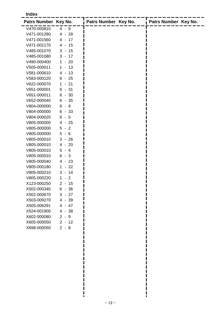#### **Index**

| Patrs Number Key No. |                       | Patrs Number Key No. | Patrs Number Key No. |
|----------------------|-----------------------|----------------------|----------------------|
| V470-000810          | $4 - 9$               |                      |                      |
| V471-001280          | $4 - 28$              |                      |                      |
| V471-001560          | $4 - 17$              |                      |                      |
| V471-002170          | $4 - 15$              |                      |                      |
| V485-001070          | $3 - 15$              |                      |                      |
| V485-001080          | $3 - 17$              |                      |                      |
| V490-000400          | $1 - 20$              |                      |                      |
| V505-000011          | $1 - 13$              |                      |                      |
| V581-000610          | $4 - 13$              |                      |                      |
| V583-000120          | $6 - 25$              |                      |                      |
| V622-000070          | $-21$<br>$\mathbf{1}$ |                      |                      |
| V651-000001          | $6 - 31$              |                      |                      |
| V651-000011          | $6 - 30$              |                      |                      |
| V652-000040          | $-35$<br>6            |                      |                      |
| V804-000000          | 6<br>- 9              |                      |                      |
| V804-000000          | $6 - 33$              |                      |                      |
| V804-000020          | 6<br>$-5$             |                      |                      |
| V805-000000          | $4 - 25$              |                      |                      |
| V805-000000          | 5<br>$-2$             |                      |                      |
| V805-000000          | 5<br>$-6$             |                      |                      |
| V805-000010          | $3 - 26$              |                      |                      |
| V805-000010          | $4 - 20$              |                      |                      |
| V805-000010          | $5 - 4$               |                      |                      |
| V805-000010          | 6<br>$-3$             |                      |                      |
| V805-000040          | $4 - 23$              |                      |                      |
| V805-000180          | $1 - 22$              |                      |                      |
| V805-000210          | $3 - 14$              |                      |                      |
| V805-000220          | 1<br>$-2$             |                      |                      |
| X123-000250          | $2 - 15$              |                      |                      |
| X502-000340          | $6 - 36$              |                      |                      |
| X502-000670          | $3 - 27$              |                      |                      |
| X503-009270          | 4 - 39                |                      |                      |
| X505-006291          | $4 - 47$              |                      |                      |
| X524-001900          | $4 - 38$              |                      |                      |
| X602-000080          | $2 - 9$               |                      |                      |
| X605-000050          | $2 - 12$              |                      |                      |
| X698-000050          | $2 - 8$               |                      |                      |

 $\mathbf l$ ī  $\blacksquare$  $\blacksquare$ П

 $\frac{1}{2}$